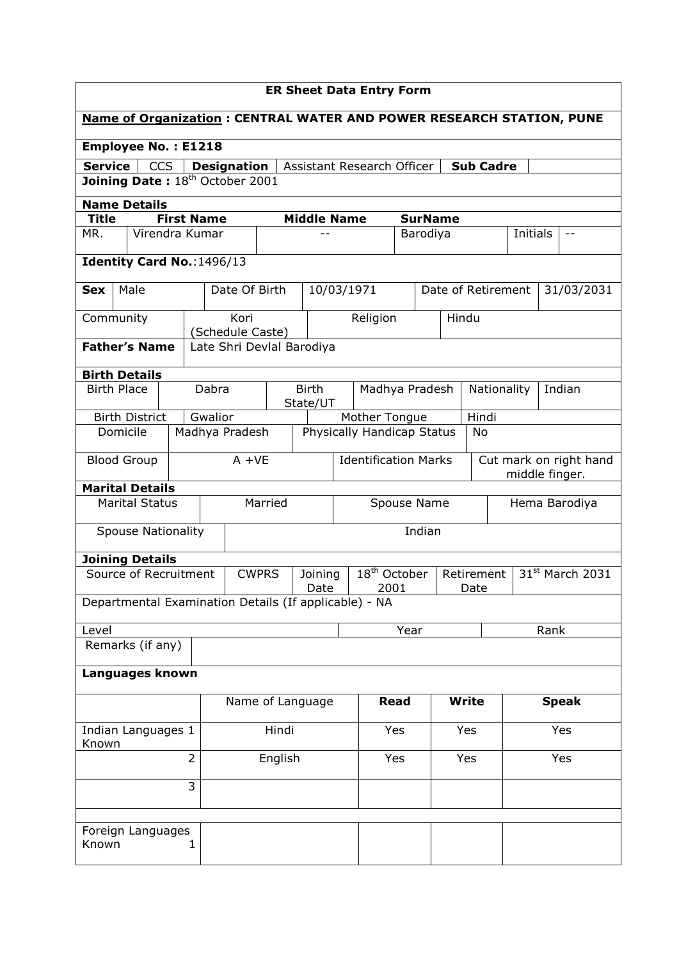| <b>ER Sheet Data Entry Form</b>                                                                      |                                                       |   |                   |                           |                                           |                          |                                      |               |                    |                                          |       |                             |          |  |               |
|------------------------------------------------------------------------------------------------------|-------------------------------------------------------|---|-------------------|---------------------------|-------------------------------------------|--------------------------|--------------------------------------|---------------|--------------------|------------------------------------------|-------|-----------------------------|----------|--|---------------|
| <b>Name of Organization: CENTRAL WATER AND POWER RESEARCH STATION, PUNE</b>                          |                                                       |   |                   |                           |                                           |                          |                                      |               |                    |                                          |       |                             |          |  |               |
| <b>Employee No.: E1218</b>                                                                           |                                                       |   |                   |                           |                                           |                          |                                      |               |                    |                                          |       |                             |          |  |               |
| <b>Service</b><br><b>CCS</b><br><b>Sub Cadre</b><br><b>Designation</b><br>Assistant Research Officer |                                                       |   |                   |                           |                                           |                          |                                      |               |                    |                                          |       |                             |          |  |               |
| Joining Date: 18 <sup>th</sup> October 2001                                                          |                                                       |   |                   |                           |                                           |                          |                                      |               |                    |                                          |       |                             |          |  |               |
|                                                                                                      | <b>Name Details</b>                                   |   |                   |                           |                                           |                          |                                      |               |                    |                                          |       |                             |          |  |               |
| <b>Title</b>                                                                                         |                                                       |   | <b>First Name</b> |                           |                                           |                          | <b>Middle Name</b><br><b>SurName</b> |               |                    |                                          |       |                             |          |  |               |
| MR.                                                                                                  | Virendra Kumar                                        |   |                   |                           |                                           |                          |                                      |               |                    | Barodiya                                 |       |                             | Initials |  |               |
| Identity Card No.: 1496/13                                                                           |                                                       |   |                   |                           |                                           |                          |                                      |               |                    |                                          |       |                             |          |  |               |
| Sex                                                                                                  | Male                                                  |   |                   | Date Of Birth             |                                           |                          |                                      | 10/03/1971    |                    |                                          |       | Date of Retirement          |          |  | 31/03/2031    |
| Community                                                                                            |                                                       |   |                   | Kori<br>(Schedule Caste)  |                                           |                          |                                      | Religion      |                    |                                          | Hindu |                             |          |  |               |
|                                                                                                      | <b>Father's Name</b>                                  |   |                   | Late Shri Devlal Barodiya |                                           |                          |                                      |               |                    |                                          |       |                             |          |  |               |
|                                                                                                      | <b>Birth Details</b>                                  |   |                   |                           |                                           |                          |                                      |               |                    |                                          |       |                             |          |  |               |
| <b>Birth Place</b>                                                                                   |                                                       |   | Dabra             |                           |                                           | <b>Birth</b><br>State/UT |                                      |               | Madhya Pradesh     |                                          |       | Indian<br>Nationality       |          |  |               |
|                                                                                                      | <b>Birth District</b>                                 |   | Gwalior           |                           |                                           |                          |                                      | Mother Tongue |                    |                                          |       | Hindi                       |          |  |               |
| Domicile<br>Madhya Pradesh<br>Physically Handicap Status<br>No                                       |                                                       |   |                   |                           |                                           |                          |                                      |               |                    |                                          |       |                             |          |  |               |
|                                                                                                      | <b>Blood Group</b>                                    |   |                   | $A + VE$                  | <b>Identification Marks</b>               |                          |                                      |               |                    | Cut mark on right hand<br>middle finger. |       |                             |          |  |               |
|                                                                                                      | <b>Marital Details</b>                                |   |                   |                           |                                           |                          |                                      |               |                    |                                          |       |                             |          |  |               |
|                                                                                                      | <b>Marital Status</b>                                 |   |                   |                           | Married<br>Spouse Name                    |                          |                                      |               |                    |                                          |       |                             |          |  | Hema Barodiya |
|                                                                                                      | <b>Spouse Nationality</b>                             |   |                   |                           | Indian                                    |                          |                                      |               |                    |                                          |       |                             |          |  |               |
|                                                                                                      | <b>Joining Details</b>                                |   |                   |                           |                                           |                          |                                      |               |                    |                                          |       |                             |          |  |               |
|                                                                                                      | Source of Recruitment                                 |   |                   | <b>CWPRS</b>              | $18th$ October<br>Joining<br>2001<br>Date |                          |                                      |               | Retirement<br>Date |                                          |       | 31 <sup>st</sup> March 2031 |          |  |               |
|                                                                                                      | Departmental Examination Details (If applicable) - NA |   |                   |                           |                                           |                          |                                      |               |                    |                                          |       |                             |          |  |               |
| Level                                                                                                |                                                       |   |                   |                           |                                           |                          |                                      |               | Year               |                                          |       | Rank                        |          |  |               |
|                                                                                                      | Remarks (if any)                                      |   |                   |                           |                                           |                          |                                      |               |                    |                                          |       |                             |          |  |               |
|                                                                                                      | Languages known                                       |   |                   |                           |                                           |                          |                                      |               |                    |                                          |       |                             |          |  |               |
|                                                                                                      |                                                       |   |                   | Name of Language          |                                           |                          |                                      | Read          |                    | <b>Write</b>                             |       | <b>Speak</b>                |          |  |               |
| Indian Languages 1<br>Known                                                                          |                                                       |   |                   | Hindi                     |                                           |                          |                                      | Yes           |                    | Yes                                      |       | Yes                         |          |  |               |
| $\overline{2}$                                                                                       |                                                       |   |                   | English                   |                                           |                          | Yes                                  | Yes           |                    |                                          | Yes   |                             |          |  |               |
| 3                                                                                                    |                                                       |   |                   |                           |                                           |                          |                                      |               |                    |                                          |       |                             |          |  |               |
|                                                                                                      |                                                       |   |                   |                           |                                           |                          |                                      |               |                    |                                          |       |                             |          |  |               |
| Known                                                                                                | Foreign Languages                                     | 1 |                   |                           |                                           |                          |                                      |               |                    |                                          |       |                             |          |  |               |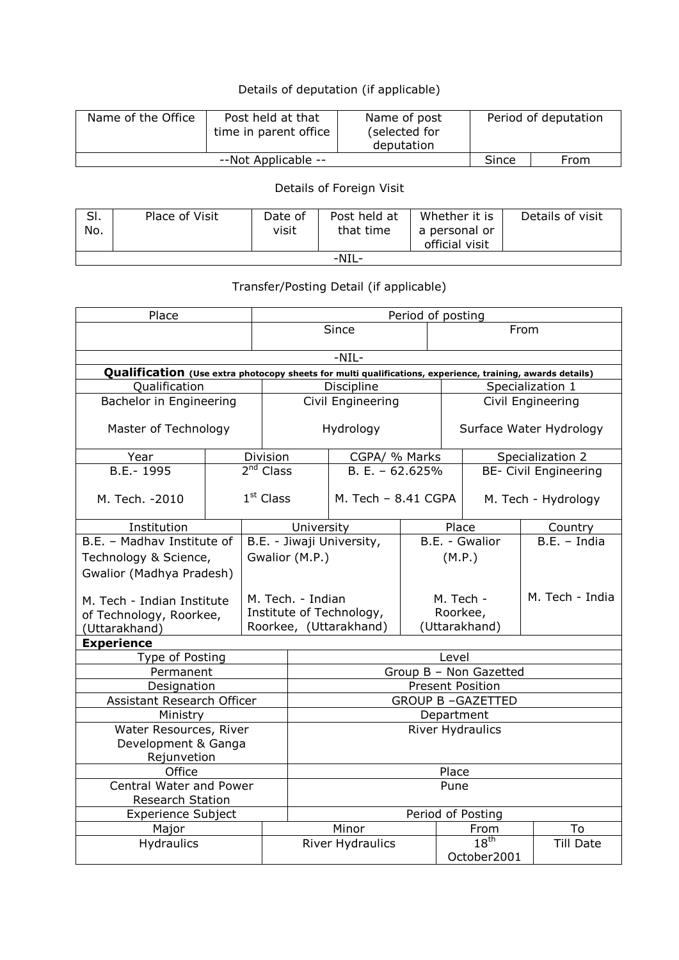## Details of deputation (if applicable)

| Name of the Office | Post held at that<br>time in parent office | Name of post<br>(selected for<br>deputation |  | Period of deputation |
|--------------------|--------------------------------------------|---------------------------------------------|--|----------------------|
|                    | Since                                      | From                                        |  |                      |

## Details of Foreign Visit

| SI.<br>No. | Place of Visit | Date of<br>visit | Post held at<br>that time | Whether it is<br>a personal or<br>official visit | Details of visit |  |  |  |  |
|------------|----------------|------------------|---------------------------|--------------------------------------------------|------------------|--|--|--|--|
| -NIL-      |                |                  |                           |                                                  |                  |  |  |  |  |

## Transfer/Posting Detail (if applicable)

| Place                                                                                                     | Period of posting |                                                                         |                           |                       |                                        |                  |                     |                              |  |  |  |  |  |
|-----------------------------------------------------------------------------------------------------------|-------------------|-------------------------------------------------------------------------|---------------------------|-----------------------|----------------------------------------|------------------|---------------------|------------------------------|--|--|--|--|--|
|                                                                                                           |                   |                                                                         | Since                     |                       |                                        |                  | From                |                              |  |  |  |  |  |
|                                                                                                           | $-NIL-$           |                                                                         |                           |                       |                                        |                  |                     |                              |  |  |  |  |  |
| Qualification (Use extra photocopy sheets for multi qualifications, experience, training, awards details) |                   |                                                                         |                           |                       |                                        |                  |                     |                              |  |  |  |  |  |
| Qualification                                                                                             |                   |                                                                         |                           | Discipline            |                                        |                  |                     | Specialization 1             |  |  |  |  |  |
| Bachelor in Engineering                                                                                   |                   |                                                                         |                           | Civil Engineering     |                                        |                  |                     | Civil Engineering            |  |  |  |  |  |
| Master of Technology                                                                                      |                   | Hydrology                                                               |                           |                       | Surface Water Hydrology                |                  |                     |                              |  |  |  |  |  |
| Year                                                                                                      |                   | Division                                                                |                           | CGPA/ % Marks         |                                        |                  |                     | Specialization 2             |  |  |  |  |  |
| B.E.-1995                                                                                                 |                   | 2 <sup>nd</sup> Class                                                   |                           | $B.E. - 62.625%$      |                                        |                  |                     | <b>BE- Civil Engineering</b> |  |  |  |  |  |
| M. Tech. - 2010                                                                                           | $1st$ Class       |                                                                         |                           | M. Tech $-$ 8.41 CGPA |                                        |                  | M. Tech - Hydrology |                              |  |  |  |  |  |
| Institution                                                                                               |                   |                                                                         | University                |                       |                                        | Place            |                     | Country                      |  |  |  |  |  |
| B.E. - Madhay Institute of                                                                                |                   |                                                                         | B.E. - Jiwaji University, |                       |                                        |                  | B.E. - Gwalior      | $B.E. - India$               |  |  |  |  |  |
| Technology & Science,                                                                                     |                   | Gwalior (M.P.)                                                          |                           |                       | (M.P.)                                 |                  |                     |                              |  |  |  |  |  |
| Gwalior (Madhya Pradesh)                                                                                  |                   |                                                                         |                           |                       |                                        |                  |                     |                              |  |  |  |  |  |
| M. Tech - Indian Institute<br>of Technology, Roorkee,<br>(Uttarakhand)                                    |                   | M. Tech. - Indian<br>Institute of Technology,<br>Roorkee, (Uttarakhand) |                           |                       | M. Tech -<br>Roorkee,<br>(Uttarakhand) |                  |                     | M. Tech - India              |  |  |  |  |  |
| <b>Experience</b>                                                                                         |                   |                                                                         |                           |                       |                                        |                  |                     |                              |  |  |  |  |  |
| Type of Posting                                                                                           |                   |                                                                         | Level                     |                       |                                        |                  |                     |                              |  |  |  |  |  |
| Permanent                                                                                                 |                   |                                                                         | Group B - Non Gazetted    |                       |                                        |                  |                     |                              |  |  |  |  |  |
| Designation                                                                                               |                   |                                                                         | <b>Present Position</b>   |                       |                                        |                  |                     |                              |  |  |  |  |  |
| Assistant Research Officer                                                                                |                   |                                                                         | <b>GROUP B-GAZETTED</b>   |                       |                                        |                  |                     |                              |  |  |  |  |  |
| Ministry                                                                                                  |                   |                                                                         | Department                |                       |                                        |                  |                     |                              |  |  |  |  |  |
| Water Resources, River                                                                                    |                   |                                                                         | <b>River Hydraulics</b>   |                       |                                        |                  |                     |                              |  |  |  |  |  |
| Development & Ganga                                                                                       |                   |                                                                         |                           |                       |                                        |                  |                     |                              |  |  |  |  |  |
| Rejunvetion                                                                                               |                   |                                                                         |                           |                       |                                        |                  |                     |                              |  |  |  |  |  |
| Office                                                                                                    | Place             |                                                                         |                           |                       |                                        |                  |                     |                              |  |  |  |  |  |
| Central Water and Power<br>Research Station                                                               | Pune              |                                                                         |                           |                       |                                        |                  |                     |                              |  |  |  |  |  |
| <b>Experience Subject</b>                                                                                 |                   | Period of Posting                                                       |                           |                       |                                        |                  |                     |                              |  |  |  |  |  |
| Major                                                                                                     |                   | Minor                                                                   |                           |                       | From                                   |                  | To                  |                              |  |  |  |  |  |
| Hydraulics                                                                                                |                   |                                                                         | River Hydraulics          |                       |                                        | 18 <sup>th</sup> |                     | <b>Till Date</b>             |  |  |  |  |  |
|                                                                                                           |                   |                                                                         |                           |                       |                                        | October2001      |                     |                              |  |  |  |  |  |